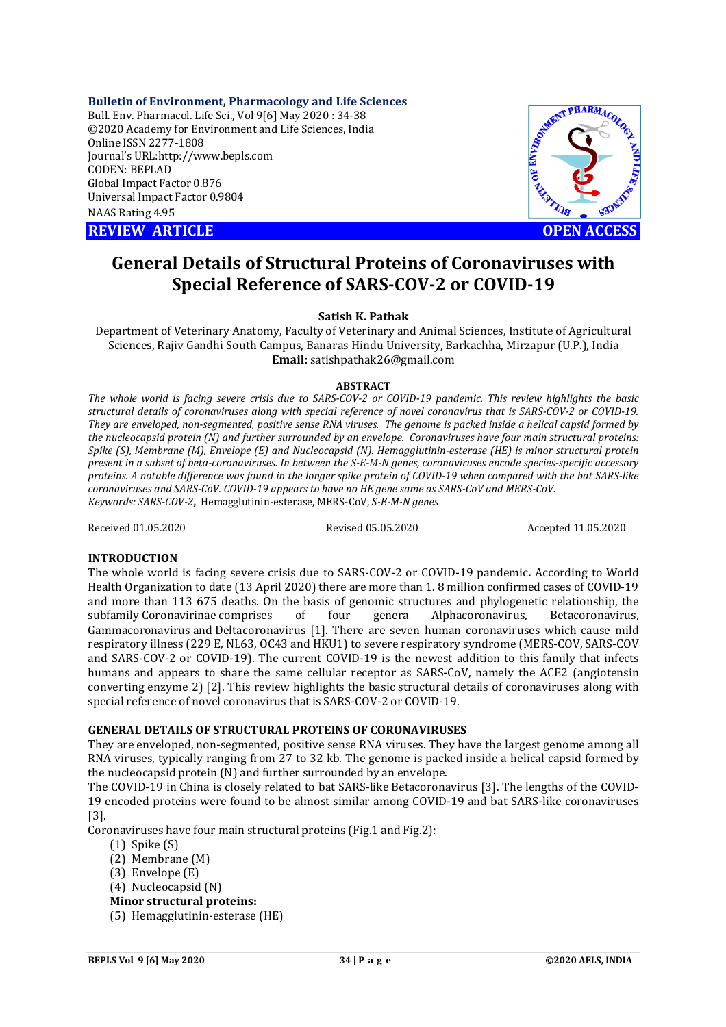**Bulletin of Environment, Pharmacology and Life Sciences**

Bull. Env. Pharmacol. Life Sci., Vol 9[6] May 2020 : 34-38 ©2020 Academy for Environment and Life Sciences, India Online ISSN 2277-1808 Journal's URL:<http://www.bepls.com> CODEN: BEPLAD Global Impact Factor 0.876 Universal Impact Factor 0.9804 NAAS Rating 4.95

**REVIEW ARTICLE CONSUMING ARTICLE OPEN ACCESS** 



# **General Details of Structural Proteins of Coronaviruses with Special Reference of SARS-COV-2 or COVID-19**

# **Satish K. Pathak**

Department of Veterinary Anatomy, Faculty of Veterinary and Animal Sciences, Institute of Agricultural Sciences, Rajiv Gandhi South Campus, Banaras Hindu University, Barkachha, Mirzapur (U.P.), India **Email:** [satishpathak26@gmail.com](mailto:satishpathak26@gmail.com)

#### **ABSTRACT**

*The whole world is facing severe crisis due to SARS-COV-2 or COVID-19 pandemic. This review highlights the basic structural details of coronaviruses along with special reference of novel coronavirus that is SARS-COV-2 or COVID-19. They are enveloped, non-segmented, positive sense RNA viruses. The genome is packed inside a helical capsid formed by the nucleocapsid protein (N) and further surrounded by an envelope. Coronaviruses have four main structural proteins: Spike (S), Membrane (M), Envelope (E) and Nucleocapsid (N). Hemagglutinin-esterase (HE) is minor structural protein present in a subset of beta-coronaviruses. In between the S-E-M-N genes, coronaviruses encode species-specific accessory proteins. A notable difference was found in the longer spike protein of COVID-19 when compared with the bat SARS-like coronaviruses and SARS-CoV. COVID-19 appears to have no HE gene same as SARS-CoV and MERS-CoV. Keywords: SARS-COV-2***,** Hemagglutinin-esterase, MERS-CoV, *S-E-M-N genes*

Received 01.05.2020 Revised 05.05.2020 Accepted 11.05.2020

# **INTRODUCTION**

The whole world is facing severe crisis due to SARS-COV-2 or COVID-19 pandemic**.** According to World Health Organization to date (13 April 2020) there are more than 1. 8 million confirmed cases of COVID-19 and more than 113 675 deaths. On the basis of genomic structures and phylogenetic relationship, the subfamily Coronavirinae comprises of four genera Alphacoronavirus, Betacoronavirus, Gammacoronavirus and Deltacoronavirus [1]. There are seven human coronaviruses which cause mild respiratory illness (229 E, NL63, OC43 and HKU1) to severe respiratory syndrome (MERS-COV, SARS-COV and SARS-COV-2 or COVID-19). The current COVID-19 is the newest addition to this family that infects humans and appears to share the same cellular receptor as SARS-CoV, namely the ACE2 (angiotensin converting enzyme 2) [2]. This review highlights the basic structural details of coronaviruses along with special reference of novel coronavirus that is SARS-COV-2 or COVID-19.

# **GENERAL DETAILS OF STRUCTURAL PROTEINS OF CORONAVIRUSES**

They are enveloped, non-segmented, positive sense RNA viruses. They have the largest genome among all RNA viruses, typically ranging from 27 to 32 kb. The genome is packed inside a helical capsid formed by the nucleocapsid protein (N) and further surrounded by an envelope.

The COVID-19 in China is closely related to bat SARS-like Betacoronavirus [3]. The lengths of the COVID-19 encoded proteins were found to be almost similar among COVID-19 and bat SARS-like coronaviruses [3].

Coronaviruses have four main structural proteins (Fig.1 and Fig.2):

- (1) Spike (S)
- (2) Membrane (M)
- (3) Envelope (E)
- (4) Nucleocapsid (N)
- **Minor structural proteins:**
- (5) Hemagglutinin-esterase (HE)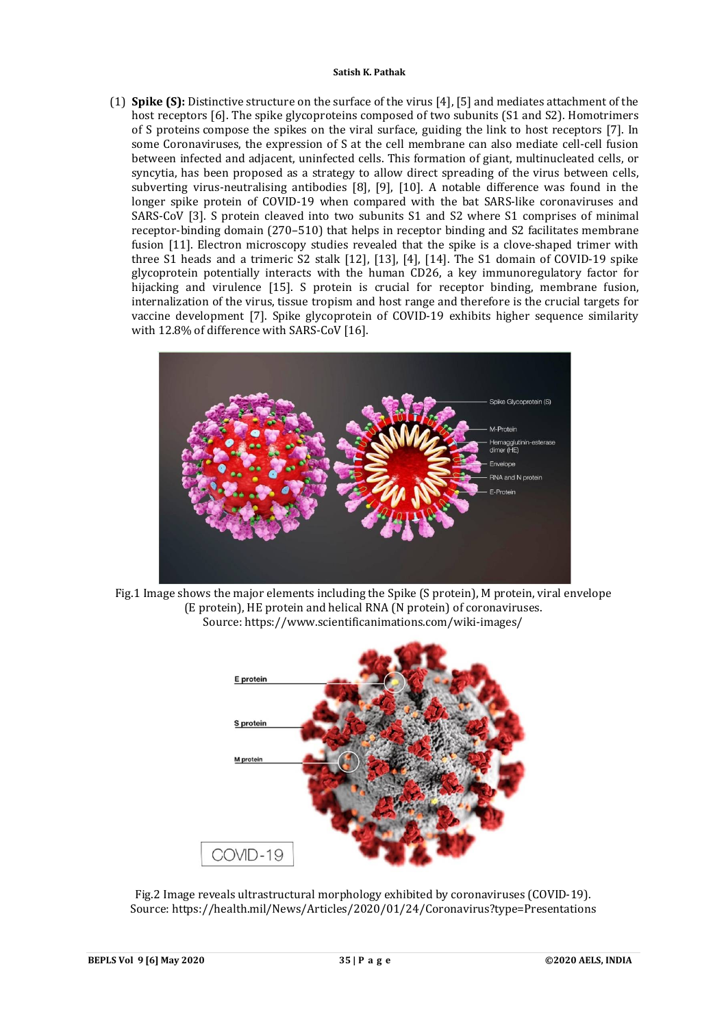(1) **Spike (S):** Distinctive structure on the surface of the virus [4], [5] and mediates attachment of the host receptors [6]. The spike glycoproteins composed of two subunits (S1 and S2). Homotrimers of S proteins compose the spikes on the viral surface, guiding the link to host receptors [7]. In some Coronaviruses, the expression of S at the cell membrane can also mediate cell-cell fusion between infected and adjacent, uninfected cells. This formation of giant, multinucleated cells, or syncytia, has been proposed as a strategy to allow direct spreading of the virus between cells, subverting virus-neutralising antibodies [8], [9], [10]. A notable difference was found in the longer spike protein of COVID-19 when compared with the bat SARS-like coronaviruses and SARS-CoV [3]. S protein cleaved into two subunits S1 and S2 where S1 comprises of minimal receptor-binding domain (270–510) that helps in receptor binding and S2 facilitates membrane fusion [11]. Electron microscopy studies revealed that the spike is a clove-shaped trimer with three S1 heads and a trimeric S2 stalk [12], [13], [4], [14]. The S1 domain of COVID-19 spike glycoprotein potentially interacts with the human CD26, a key immunoregulatory factor for hijacking and virulence [15]. S protein is crucial for receptor binding, membrane fusion, internalization of the virus, tissue tropism and host range and therefore is the crucial targets for vaccine development [7]. Spike glycoprotein of COVID-19 exhibits higher sequence similarity with 12.8% of difference with SARS-CoV [16].







Fig.2 Image reveals ultrastructural morphology exhibited by coronaviruses (COVID-19). Source:<https://health.mil/News/Articles/2020/01/24/Coronavirus?type=Presentations>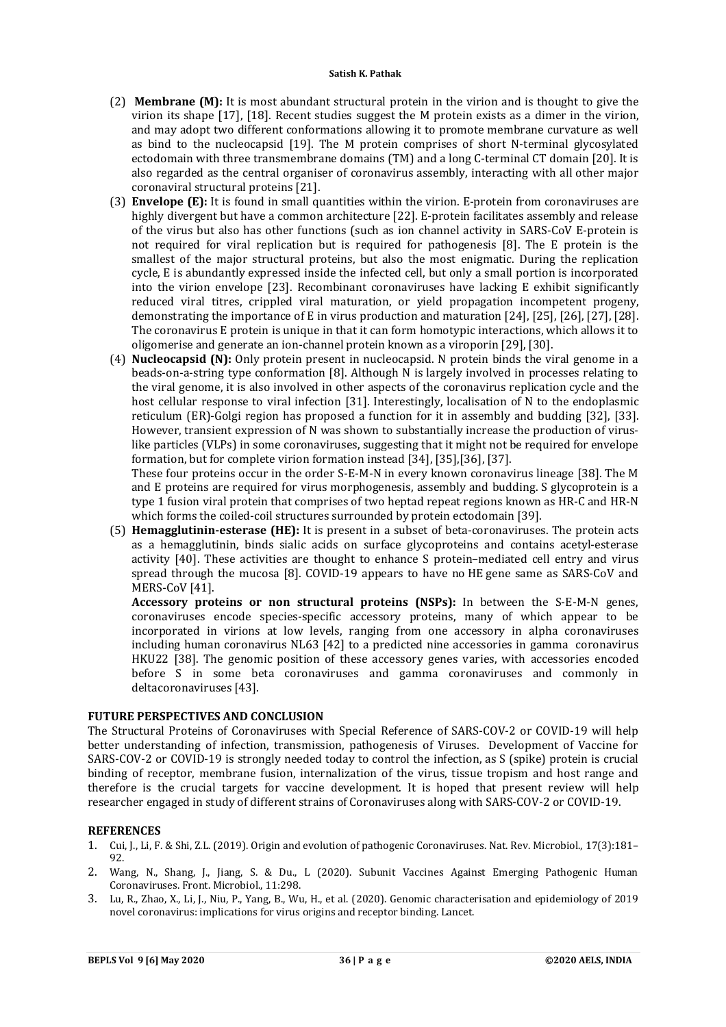- (2) **Membrane (M):** It is most abundant structural protein in the virion and is thought to give the virion its shape [17], [18]. Recent studies suggest the M protein exists as a dimer in the virion, and may adopt two different conformations allowing it to promote membrane curvature as well as bind to the nucleocapsid [19]. The M protein comprises of short N-terminal glycosylated ectodomain with three transmembrane domains (TM) and a long C-terminal CT domain [20]. It is also regarded as the central organiser of coronavirus assembly, interacting with all other major coronaviral structural proteins [21].
- (3) **Envelope (E):** It is found in small quantities within the virion. E-protein from coronaviruses are highly divergent but have a common architecture [22]. E-protein facilitates assembly and release of the virus but also has other functions (such as ion channel activity in SARS-CoV E-protein is not required for viral replication but is required for pathogenesis [8]. The E protein is the smallest of the major structural proteins, but also the most enigmatic. During the replication cycle, E is abundantly expressed inside the infected cell, but only a small portion is incorporated into the virion envelope [23]. Recombinant coronaviruses have lacking E exhibit significantly reduced viral titres, crippled viral maturation, or yield propagation incompetent progeny, demonstrating the importance of E in virus production and maturation [24], [25], [26], [27], [28]. The coronavirus E protein is unique in that it can form homotypic interactions, which allows it to oligomerise and generate an ion-channel protein known as a viroporin [29], [30].
- (4) **Nucleocapsid (N):** Only protein present in nucleocapsid. N protein binds the viral genome in a beads-on-a-string type conformation [8]. Although N is largely involved in processes relating to the viral genome, it is also involved in other aspects of the coronavirus replication cycle and the host cellular response to viral infection [31]. Interestingly, localisation of N to the endoplasmic reticulum (ER)-Golgi region has proposed a function for it in assembly and budding [32], [33]. However, transient expression of N was shown to substantially increase the production of viruslike particles (VLPs) in some coronaviruses, suggesting that it might not be required for envelope formation, but for complete virion formation instead [34], [35],[36], [37].

These four proteins occur in the order S-E-M-N in every known coronavirus lineage [38]. The M and E proteins are required for virus morphogenesis, assembly and budding. S glycoprotein is a type 1 fusion viral protein that comprises of two heptad repeat regions known as HR-C and HR-N which forms the coiled-coil structures surrounded by protein ectodomain [39].

(5) **Hemagglutinin-esterase (HE):** It is present in a subset of beta-coronaviruses. The protein acts as a hemagglutinin, binds sialic acids on surface glycoproteins and contains acetyl-esterase activity [40]. These activities are thought to enhance S protein–mediated cell entry and virus spread through the mucosa [8]. COVID-19 appears to have no HE gene same as SARS-CoV and MERS-CoV [41].

**Accessory proteins or non structural proteins (NSPs):** In between the S-E-M-N genes, coronaviruses encode species-specific accessory proteins, many of which appear to be incorporated in virions at low levels, ranging from one accessory in alpha coronaviruses including human coronavirus NL63 [42] to a predicted nine accessories in gamma coronavirus HKU22 [38]. The genomic position of these accessory genes varies, with accessories encoded before S in some beta coronaviruses and gamma coronaviruses and commonly in deltacoronaviruses [43].

# **FUTURE PERSPECTIVES AND CONCLUSION**

The Structural Proteins of Coronaviruses with Special Reference of SARS-COV-2 or COVID-19 will help better understanding of infection, transmission, pathogenesis of Viruses. Development of Vaccine for SARS-COV-2 or COVID-19 is strongly needed today to control the infection, as S (spike) protein is crucial binding of receptor, membrane fusion, internalization of the virus, tissue tropism and host range and therefore is the crucial targets for vaccine development. It is hoped that present review will help researcher engaged in study of different strains of Coronaviruses along with SARS-COV-2 or COVID-19.

# **REFERENCES**

- 1. Cui, J., Li, F. & Shi, Z.L. (2019). Origin and evolution of pathogenic Coronaviruses. Nat. Rev. Microbiol., 17(3):181– 92.
- 2. Wang, N., Shang, J., Jiang, S. & Du., L (2020). Subunit Vaccines Against Emerging Pathogenic Human Coronaviruses. Front. Microbiol., 11:298.
- 3. Lu, R., Zhao, X., Li, J., Niu, P., Yang, B., Wu, H., et al. (2020). Genomic characterisation and epidemiology of 2019 novel coronavirus: implications for virus origins and receptor binding. Lancet.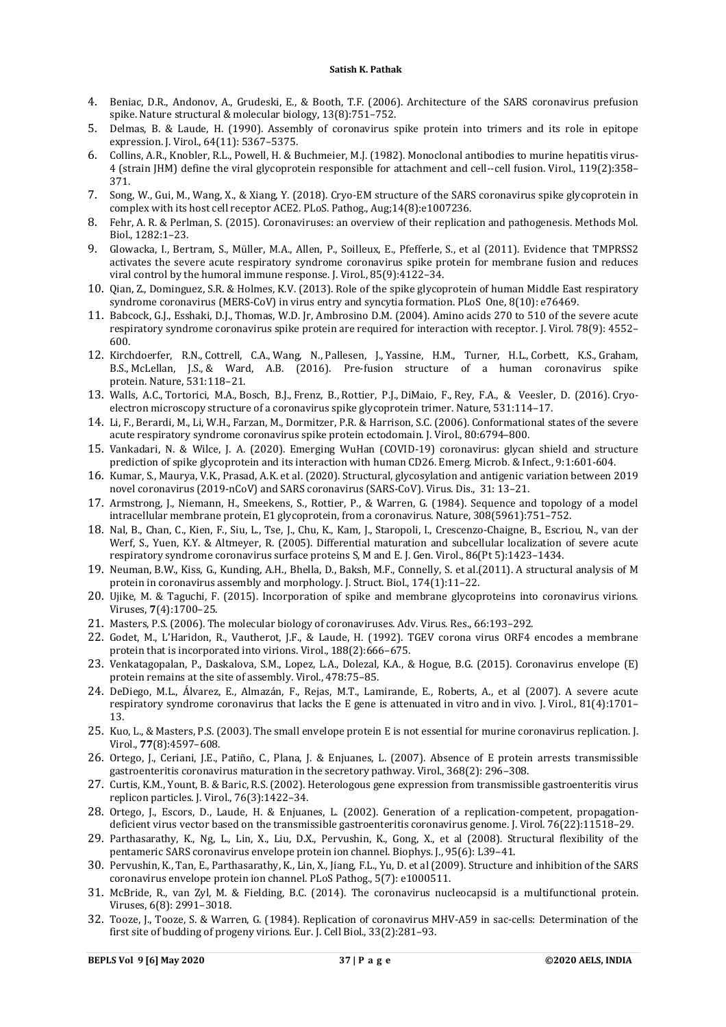- 4. Beniac, D.R., Andonov, A., Grudeski, E., & Booth, T.F. (2006). Architecture of the SARS coronavirus prefusion spike. Nature structural & molecular biology, 13(8):751–752.
- 5. Delmas, B. & Laude, H. (1990). Assembly of coronavirus spike protein into trimers and its role in epitope expression. J. Virol., 64(11): 5367–5375.
- 6. Collins, A.R., Knobler, R.L., Powell, H. & Buchmeier, M.J. (1982). Monoclonal antibodies to murine hepatitis virus-4 (strain JHM) define the viral glycoprotein responsible for attachment and cell--cell fusion. Virol., 119(2):358– 371.
- 7. Song, W., Gui, M., Wang, X., & Xiang, Y. (2018). Cryo-EM structure of the SARS coronavirus spike glycoprotein in complex with its host cell receptor ACE2. PLoS. Pathog., Aug;14(8):e1007236.
- 8. Fehr, A. R. & Perlman, S. (2015). Coronaviruses: an overview of their replication and pathogenesis. Methods Mol. Biol., 1282:1–23.
- 9. Glowacka, I., Bertram, S., Müller, M.A., Allen, P., Soilleux, E., Pfefferle, S., et al (2011). Evidence that TMPRSS2 activates the severe acute respiratory syndrome coronavirus spike protein for membrane fusion and reduces viral control by the humoral immune response. J. Virol., 85(9):4122–34.
- 10. Qian, Z., Dominguez, S.R. & Holmes, K.V. (2013). Role of the spike glycoprotein of human Middle East respiratory syndrome coronavirus (MERS-CoV) in virus entry and syncytia formation. PLoS One, 8(10): e76469.
- 11. Babcock, G.J., Esshaki, D.J., Thomas, W.D. Jr, Ambrosino D.M. (2004). Amino acids 270 to 510 of the severe acute respiratory syndrome coronavirus spike protein are required for interaction with receptor. J. Virol. 78(9): 4552– 600.
- 12. Kirchdoerfer, R.N., Cottrell, C.A., Wang, N., Pallesen, J., Yassine, H.M., Turner, H.L., Corbett, K.S., Graham, B.S., McLellan, J.S., & Ward, A.B. (2016). Pre-fusion structure of a human coronavirus spike protein. Nature, 531:118–21.
- 13. Walls, A.C., Tortorici, M.A., Bosch, B.J., Frenz, B., Rottier, P.J., DiMaio, F., Rey, F.A., & Veesler, D. (2016). Cryoelectron microscopy structure of a coronavirus spike glycoprotein trimer. Nature, 531:114–17.
- 14. Li, F., Berardi, M., Li, W.H., Farzan, M., Dormitzer, P.R. & Harrison, S.C. (2006). Conformational states of the severe acute respiratory syndrome coronavirus spike protein ectodomain. J. Virol., 80:6794–800.
- 15. Vankadari, N. & Wilce, J. A. (2020). Emerging WuHan (COVID-19) coronavirus: glycan shield and structure prediction of spike glycoprotein and its interaction with human CD26. Emerg. Microb. & Infect., 9:1:601-604.
- 16. Kumar, S., Maurya, V.K., Prasad, A.K. et al. (2020). Structural, glycosylation and antigenic variation between 2019 novel coronavirus (2019-nCoV) and SARS coronavirus (SARS-CoV). Virus. Dis., 31: 13–21.
- 17. Armstrong, J., Niemann, H., Smeekens, S., Rottier, P., & Warren, G. (1984). Sequence and topology of a model intracellular membrane protein, E1 glycoprotein, from a coronavirus. Nature, 308(5961):751–752.
- 18. Nal, B., Chan, C., Kien, F., Siu, L., Tse, J., Chu, K., Kam, J., Staropoli, I., Crescenzo-Chaigne, B., Escriou, N., van der Werf, S., Yuen, K.Y. & Altmeyer, R. (2005). Differential maturation and subcellular localization of severe acute respiratory syndrome coronavirus surface proteins S, M and E. J. Gen. Virol., 86(Pt 5):1423–1434.
- 19. Neuman, B.W., Kiss, G., Kunding, A.H., Bhella, D., Baksh, M.F., Connelly, S. et al.(2011). A structural analysis of M protein in coronavirus assembly and morphology. J. Struct. Biol., 174(1):11–22.
- 20. Ujike, M. & Taguchi, F. (2015). Incorporation of spike and membrane glycoproteins into coronavirus virions. Viruses, **7**(4):1700–25.
- 21. Masters, P.S. (2006). The molecular biology of coronaviruses. Adv. Virus. Res., 66:193–292.
- 22. Godet, M., L'Haridon, R., Vautherot, J.F., & Laude, H. (1992). TGEV corona virus ORF4 encodes a membrane protein that is incorporated into virions. Virol., 188(2):666–675.
- 23. Venkatagopalan, P., Daskalova, S.M., Lopez, L.A., Dolezal, K.A., & Hogue, B.G. (2015). Coronavirus envelope (E) protein remains at the site of assembly. Virol., 478:75–85.
- 24. DeDiego, M.L., Álvarez, E., Almazán, F., Rejas, M.T., Lamirande, E., Roberts, A., et al (2007). A severe acute respiratory syndrome coronavirus that lacks the E gene is attenuated in vitro and in vivo. J. Virol., 81(4):1701– 13.
- 25. Kuo, L., & Masters, P.S. (2003). The small envelope protein E is not essential for murine coronavirus replication. J. Virol., **77**(8):4597–608.
- 26. Ortego, J., Ceriani, J.E., Patiño, C., Plana, J. & Enjuanes, L. (2007). Absence of E protein arrests transmissible gastroenteritis coronavirus maturation in the secretory pathway. Virol., 368(2): 296–308.
- 27. Curtis, K.M., Yount, B. & Baric, R.S. (2002). Heterologous gene expression from transmissible gastroenteritis virus replicon particles. J. Virol., 76(3):1422–34.
- 28. Ortego, J., Escors, D., Laude, H. & Enjuanes, L. (2002). Generation of a replication-competent, propagationdeficient virus vector based on the transmissible gastroenteritis coronavirus genome. J. Virol. 76(22):11518–29.
- 29. Parthasarathy, K., Ng, L., Lin, X., Liu, D.X., Pervushin, K., Gong, X., et al (2008). Structural flexibility of the pentameric SARS coronavirus envelope protein ion channel. Biophys. J., 95(6): L39–41.
- 30. Pervushin, K., Tan, E., Parthasarathy, K., Lin, X., Jiang, F.L., Yu, D. et al (2009). Structure and inhibition of the SARS coronavirus envelope protein ion channel. PLoS Pathog., 5(7): e1000511.
- 31. McBride, R., van Zyl, M. & Fielding, B.C. (2014). The coronavirus nucleocapsid is a multifunctional protein. Viruses, 6(8): 2991–3018.
- 32. Tooze, J., Tooze, S. & Warren, G. (1984). Replication of coronavirus MHV-A59 in sac-cells: Determination of the first site of budding of progeny virions. Eur. J. Cell Biol., 33(2):281–93.